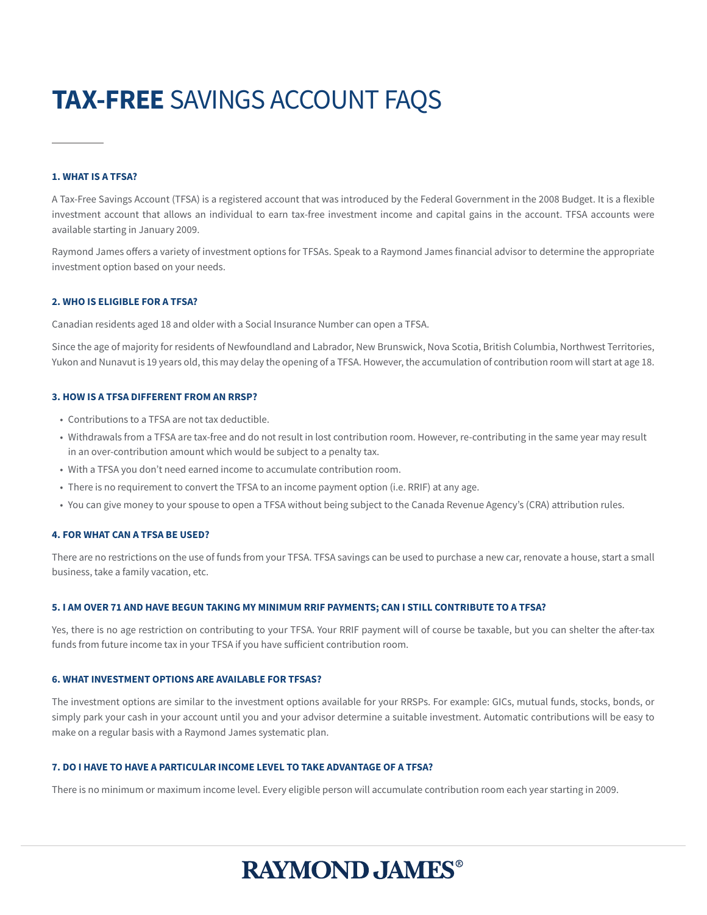# **TAX-FREE** SAVINGS ACCOUNT FAQS

#### **1. WHAT IS A TFSA?**

A Tax-Free Savings Account (TFSA) is a registered account that was introduced by the Federal Government in the 2008 Budget. It is a flexible investment account that allows an individual to earn tax-free investment income and capital gains in the account. TFSA accounts were available starting in January 2009.

Raymond James offers a variety of investment options for TFSAs. Speak to a Raymond James financial advisor to determine the appropriate investment option based on your needs.

#### **2. WHO IS ELIGIBLE FOR A TFSA?**

Canadian residents aged 18 and older with a Social Insurance Number can open a TFSA.

Since the age of majority for residents of Newfoundland and Labrador, New Brunswick, Nova Scotia, British Columbia, Northwest Territories, Yukon and Nunavut is 19 years old, this may delay the opening of a TFSA. However, the accumulation of contribution room will start at age 18.

#### **3. HOW IS A TFSA DIFFERENT FROM AN RRSP?**

- Contributions to a TFSA are not tax deductible.
- Withdrawals from a TFSA are tax-free and do not result in lost contribution room. However, re-contributing in the same year may result in an over-contribution amount which would be subject to a penalty tax.
- With a TFSA you don't need earned income to accumulate contribution room.
- There is no requirement to convert the TFSA to an income payment option (i.e. RRIF) at any age.
- You can give money to your spouse to open a TFSA without being subject to the Canada Revenue Agency's (CRA) attribution rules.

#### **4. FOR WHAT CAN A TFSA BE USED?**

There are no restrictions on the use of funds from your TFSA. TFSA savings can be used to purchase a new car, renovate a house, start a small business, take a family vacation, etc.

#### **5. I AM OVER 71 AND HAVE BEGUN TAKING MY MINIMUM RRIF PAYMENTS; CAN I STILL CONTRIBUTE TO A TFSA?**

Yes, there is no age restriction on contributing to your TFSA. Your RRIF payment will of course be taxable, but you can shelter the after-tax funds from future income tax in your TFSA if you have sufficient contribution room.

#### **6. WHAT INVESTMENT OPTIONS ARE AVAILABLE FOR TFSAS?**

The investment options are similar to the investment options available for your RRSPs. For example: GICs, mutual funds, stocks, bonds, or simply park your cash in your account until you and your advisor determine a suitable investment. Automatic contributions will be easy to make on a regular basis with a Raymond James systematic plan.

#### **7. DO I HAVE TO HAVE A PARTICULAR INCOME LEVEL TO TAKE ADVANTAGE OF A TFSA?**

There is no minimum or maximum income level. Every eligible person will accumulate contribution room each year starting in 2009.

# **RAYMOND JAMES®**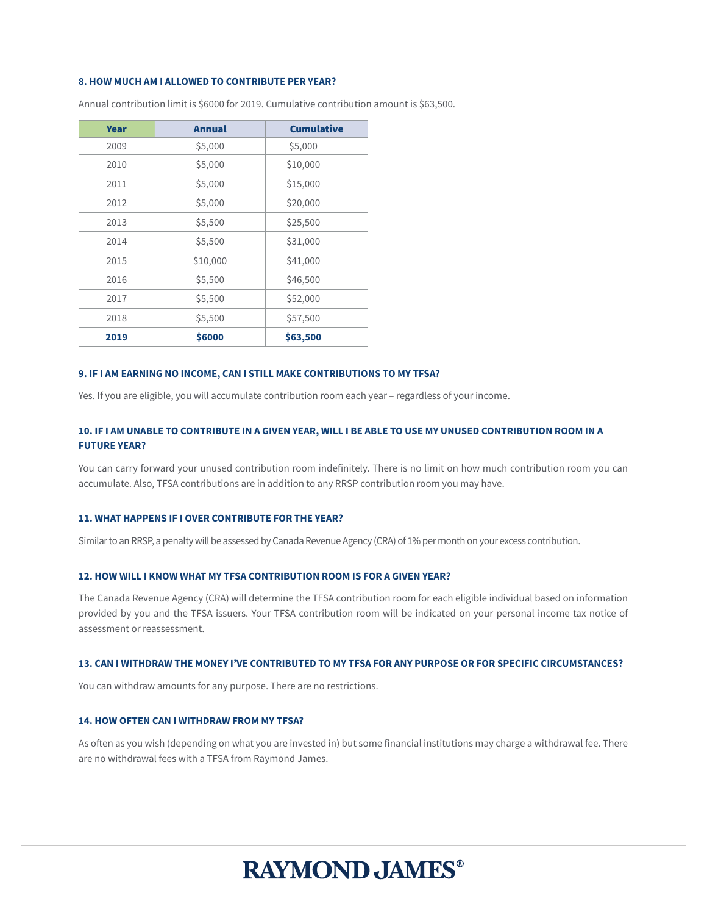#### **8. HOW MUCH AM I ALLOWED TO CONTRIBUTE PER YEAR?**

| <b>Year</b> | <b>Annual</b> | <b>Cumulative</b> |
|-------------|---------------|-------------------|
| 2009        | \$5,000       | \$5,000           |
| 2010        | \$5,000       | \$10,000          |
| 2011        | \$5,000       | \$15,000          |
| 2012        | \$5,000       | \$20,000          |
| 2013        | \$5,500       | \$25,500          |
| 2014        | \$5,500       | \$31,000          |
| 2015        | \$10,000      | \$41,000          |
| 2016        | \$5,500       | \$46,500          |
| 2017        | \$5,500       | \$52,000          |
| 2018        | \$5,500       | \$57,500          |
| 2019        | \$6000        | \$63,500          |

Annual contribution limit is \$6000 for 2019. Cumulative contribution amount is \$63,500.

#### **9. IF I AM EARNING NO INCOME, CAN I STILL MAKE CONTRIBUTIONS TO MY TFSA?**

Yes. If you are eligible, you will accumulate contribution room each year – regardless of your income.

# **10. IF I AM UNABLE TO CONTRIBUTE IN A GIVEN YEAR, WILL I BE ABLE TO USE MY UNUSED CONTRIBUTION ROOM IN A FUTURE YEAR?**

You can carry forward your unused contribution room indefinitely. There is no limit on how much contribution room you can accumulate. Also, TFSA contributions are in addition to any RRSP contribution room you may have.

#### **11. WHAT HAPPENS IF I OVER CONTRIBUTE FOR THE YEAR?**

Similar to an RRSP, a penalty will be assessed by Canada Revenue Agency (CRA) of 1% per month on your excess contribution.

#### **12. HOW WILL I KNOW WHAT MY TFSA CONTRIBUTION ROOM IS FOR A GIVEN YEAR?**

The Canada Revenue Agency (CRA) will determine the TFSA contribution room for each eligible individual based on information provided by you and the TFSA issuers. Your TFSA contribution room will be indicated on your personal income tax notice of assessment or reassessment.

# **13. CAN I WITHDRAW THE MONEY I'VE CONTRIBUTED TO MY TFSA FOR ANY PURPOSE OR FOR SPECIFIC CIRCUMSTANCES?**

You can withdraw amounts for any purpose. There are no restrictions.

### **14. HOW OFTEN CAN I WITHDRAW FROM MY TFSA?**

As often as you wish (depending on what you are invested in) but some financial institutions may charge a withdrawal fee. There are no withdrawal fees with a TFSA from Raymond James.

# **RAYMOND JAMES®**